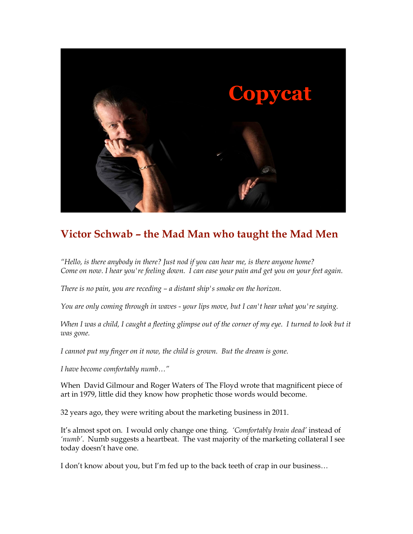

## **Victor Schwab – the Mad Man who taught the Mad Men**

*"Hello, is there anybody in there? Just nod if you can hear me, is there anyone home? Come on now. I hear you're feeling down. I can ease your pain and get you on your feet again.*

*There is no pain, you are receding – a distant ship's smoke on the horizon.* 

*You are only coming through in waves - your lips move, but I can't hear what you're saying.*

When I was a child, I caught a fleeting glimpse out of the corner of my eye. I turned to look but it *was gone.* 

*I cannot put my finger on it now, the child is grown. But the dream is gone.*

*I have become comfortably numb…"*

When David Gilmour and Roger Waters of The Floyd wrote that magnificent piece of art in 1979, little did they know how prophetic those words would become.

32 years ago, they were writing about the marketing business in 2011.

It's almost spot on. I would only change one thing. *'Comfortably brain dead'* instead of *'numb'*. Numb suggests a heartbeat. The vast majority of the marketing collateral I see today doesn't have one.

I don't know about you, but I'm fed up to the back teeth of crap in our business…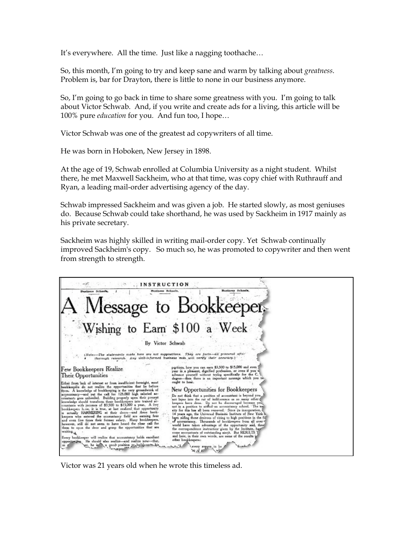It's everywhere. All the time. Just like a nagging toothache…

So, this month, I'm going to try and keep sane and warm by talking about *greatness*. Problem is, bar for Drayton, there is little to none in our business anymore.

So, I'm going to go back in time to share some greatness with you. I'm going to talk about Victor Schwab. And, if you write and create ads for a living, this article will be 100% pure *education* for you*.* And fun too, I hope…

Victor Schwab was one of the greatest ad copywriters of all time.

He was born in Hoboken, New Jersey in 1898.

At the age of 19, Schwab enrolled at Columbia University as a night student. Whilst there, he met Maxwell Sackheim, who at that time, was copy chief with Ruthrauff and Ryan, a leading mail-order advertising agency of the day.

Schwab impressed Sackheim and was given a job. He started slowly, as most geniuses do. Because Schwab could take shorthand, he was used by Sackheim in 1917 mainly as his private secretary.

Sackheim was highly skilled in writing mail-order copy. Yet Schwab continually improved Sackheim's copy. So much so, he was promoted to copywriter and then went from strength to strength.



Victor was 21 years old when he wrote this timeless ad.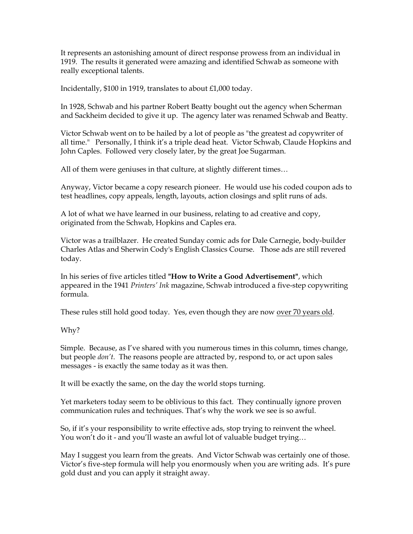It represents an astonishing amount of direct response prowess from an individual in 1919. The results it generated were amazing and identified Schwab as someone with really exceptional talents.

Incidentally, \$100 in 1919, translates to about £1,000 today.

In 1928, Schwab and his partner Robert Beatty bought out the agency when Scherman and Sackheim decided to give it up. The agency later was renamed Schwab and Beatty.

Victor Schwab went on to be hailed by a lot of people as "the greatest ad copywriter of all time." Personally, I think it's a triple dead heat. Victor Schwab, Claude Hopkins and John Caples. Followed very closely later, by the great Joe Sugarman.

All of them were geniuses in that culture, at slightly different times…

Anyway, Victor became a copy research pioneer. He would use his coded coupon ads to test headlines, copy appeals, length, layouts, action closings and split runs of ads.

A lot of what we have learned in our business, relating to ad creative and copy, originated from the Schwab, Hopkins and Caples era.

Victor was a trailblazer. He created Sunday comic ads for Dale Carnegie, body-builder Charles Atlas and Sherwin Cody's English Classics Course. Those ads are still revered today.

In his series of five articles titled **"How to Write a Good Advertisement"**, which appeared in the 1941 *Printers' Ink* magazine, Schwab introduced a five-step copywriting formula.

These rules still hold good today. Yes, even though they are now over 70 years old.

Why?

Simple. Because, as I've shared with you numerous times in this column, times change, but people *don't*. The reasons people are attracted by, respond to, or act upon sales messages - is exactly the same today as it was then.

It will be exactly the same, on the day the world stops turning.

Yet marketers today seem to be oblivious to this fact. They continually ignore proven communication rules and techniques. That's why the work we see is so awful.

So, if it's your responsibility to write effective ads, stop trying to reinvent the wheel. You won't do it - and you'll waste an awful lot of valuable budget trying...

May I suggest you learn from the greats. And Victor Schwab was certainly one of those. Victor's five-step formula will help you enormously when you are writing ads. It's pure gold dust and you can apply it straight away.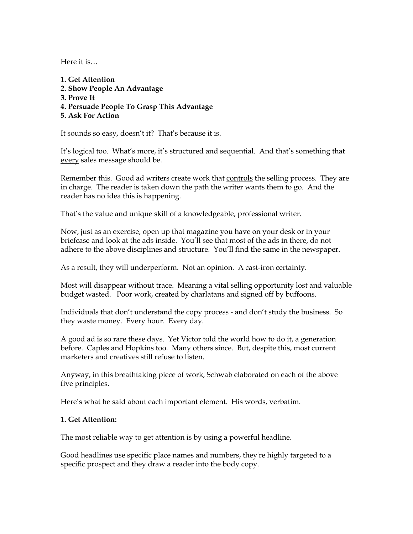Here it is…

**1. Get Attention 2. Show People An Advantage 3. Prove It 4. Persuade People To Grasp This Advantage 5. Ask For Action**

It sounds so easy, doesn't it? That's because it is.

It's logical too. What's more, it's structured and sequential. And that's something that every sales message should be.

Remember this. Good ad writers create work that controls the selling process. They are in charge. The reader is taken down the path the writer wants them to go. And the reader has no idea this is happening.

That's the value and unique skill of a knowledgeable, professional writer.

Now, just as an exercise, open up that magazine you have on your desk or in your briefcase and look at the ads inside. You'll see that most of the ads in there, do not adhere to the above disciplines and structure. You'll find the same in the newspaper.

As a result, they will underperform. Not an opinion. A cast-iron certainty.

Most will disappear without trace. Meaning a vital selling opportunity lost and valuable budget wasted. Poor work, created by charlatans and signed off by buffoons.

Individuals that don't understand the copy process - and don't study the business. So they waste money. Every hour. Every day.

A good ad is so rare these days. Yet Victor told the world how to do it, a generation before. Caples and Hopkins too. Many others since. But, despite this, most current marketers and creatives still refuse to listen.

Anyway, in this breathtaking piece of work, Schwab elaborated on each of the above five principles.

Here's what he said about each important element. His words, verbatim.

#### **1. Get Attention:**

The most reliable way to get attention is by using a powerful headline.

Good headlines use specific place names and numbers, they're highly targeted to a specific prospect and they draw a reader into the body copy.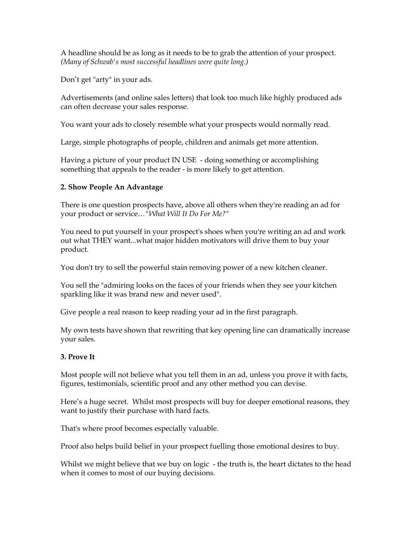A headline should be as long as it needs to be to grab the attention of your prospect. *(Many of Schwab's most successful headlines were quite long.)*

Don't get "arty" in your ads.

Advertisements (and online sales letters) that look too much like highly produced ads can often decrease your sales response.

You want your ads to closely resemble what your prospects would normally read.

Large, simple photographs of people, children and animals get more attention.

Having a picture of your product IN USE - doing something or accomplishing something that appeals to the reader - is more likely to get attention.

### **2. Show People An Advantage**

There is one question prospects have, above all others when they're reading an ad for your product or service…*"What Will It Do For Me?"*

You need to put yourself in your prospect's shoes when you're writing an ad and work out what THEY want...what major hidden motivators will drive them to buy your product.

You don't try to sell the powerful stain removing power of a new kitchen cleaner.

You sell the "admiring looks on the faces of your friends when they see your kitchen sparkling like it was brand new and never used".

Give people a real reason to keep reading your ad in the first paragraph.

My own tests have shown that rewriting that key opening line can dramatically increase your sales.

#### **3. Prove It**

Most people will not believe what you tell them in an ad, unless you prove it with facts, figures, testimonials, scientific proof and any other method you can devise.

Here's a huge secret. Whilst most prospects will buy for deeper emotional reasons, they want to justify their purchase with hard facts.

That's where proof becomes especially valuable.

Proof also helps build belief in your prospect fuelling those emotional desires to buy.

Whilst we might believe that we buy on logic - the truth is, the heart dictates to the head when it comes to most of our buying decisions.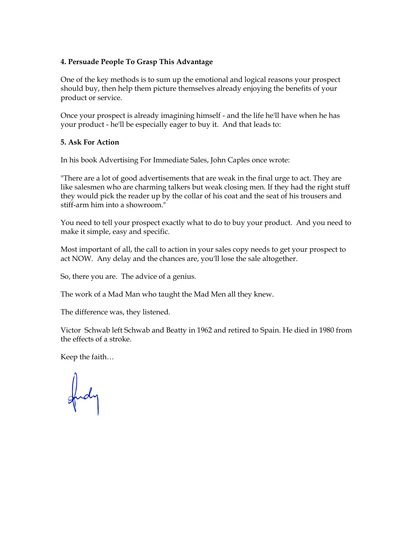#### **4. Persuade People To Grasp This Advantage**

One of the key methods is to sum up the emotional and logical reasons your prospect should buy, then help them picture themselves already enjoying the benefits of your product or service.

Once your prospect is already imagining himself - and the life he'll have when he has your product - he'll be especially eager to buy it. And that leads to:

#### **5. Ask For Action**

In his book Advertising For Immediate Sales, John Caples once wrote:

"There are a lot of good advertisements that are weak in the final urge to act. They are like salesmen who are charming talkers but weak closing men. If they had the right stuff they would pick the reader up by the collar of his coat and the seat of his trousers and stiff-arm him into a showroom."

You need to tell your prospect exactly what to do to buy your product. And you need to make it simple, easy and specific.

Most important of all, the call to action in your sales copy needs to get your prospect to act NOW. Any delay and the chances are, you'll lose the sale altogether.

So, there you are. The advice of a genius.

The work of a Mad Man who taught the Mad Men all they knew.

The difference was, they listened.

Victor Schwab left Schwab and Beatty in 1962 and retired to Spain. He died in 1980 from the effects of a stroke.

Keep the faith…

fud